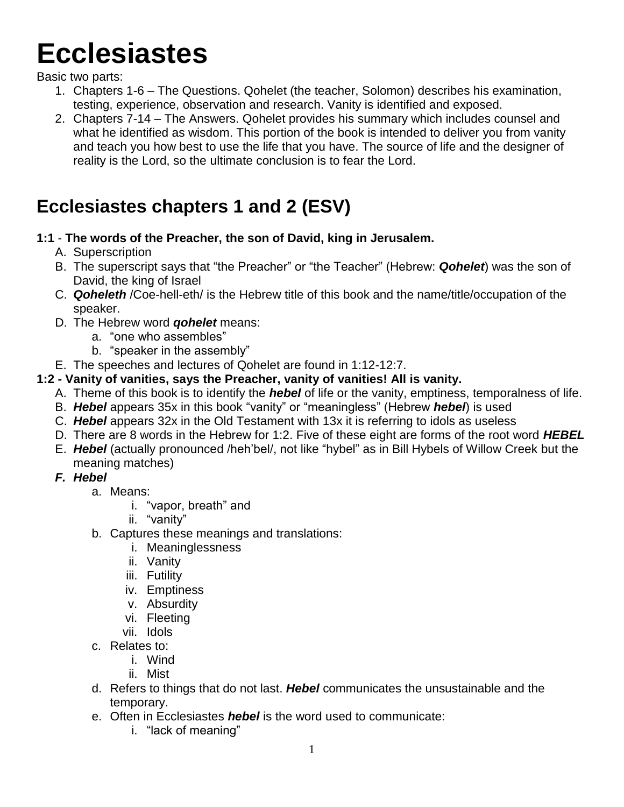# **Ecclesiastes**

Basic two parts:

- 1. Chapters 1-6 The Questions. Qohelet (the teacher, Solomon) describes his examination, testing, experience, observation and research. Vanity is identified and exposed.
- 2. Chapters 7-14 The Answers. Qohelet provides his summary which includes counsel and what he identified as wisdom. This portion of the book is intended to deliver you from vanity and teach you how best to use the life that you have. The source of life and the designer of reality is the Lord, so the ultimate conclusion is to fear the Lord.

# **Ecclesiastes chapters 1 and 2 (ESV)**

#### **1:1** - **The words of the Preacher, the son of David, king in Jerusalem.**

- A. Superscription
- B. The superscript says that "the Preacher" or "the Teacher" (Hebrew: *Qohelet*) was the son of David, the king of Israel
- C. *Qoheleth* /Coe-hell-eth/ is the Hebrew title of this book and the name/title/occupation of the speaker.
- D. The Hebrew word *qohelet* means:
	- a. "one who assembles"
	- b. "speaker in the assembly"
- E. The speeches and lectures of Qohelet are found in 1:12-12:7.

#### **1:2 - Vanity of vanities, says the Preacher, vanity of vanities! All is vanity.**

- A. Theme of this book is to identify the *hebel* of life or the vanity, emptiness, temporalness of life.
- B. *Hebel* appears 35x in this book "vanity" or "meaningless" (Hebrew *hebel*) is used
- C. *Hebel* appears 32x in the Old Testament with 13x it is referring to idols as useless
- D. There are 8 words in the Hebrew for 1:2. Five of these eight are forms of the root word *HEBEL*
- E. *Hebel* (actually pronounced /heh'bel/, not like "hybel" as in Bill Hybels of Willow Creek but the meaning matches)
- *F. Hebel* 
	- a. Means:
		- i. "vapor, breath" and
		- ii. "vanity"
	- b. Captures these meanings and translations:
		- i. Meaninglessness
		- ii. Vanity
		- iii. Futility
		- iv. Emptiness
		- v. Absurdity
		- vi. Fleeting
		- vii. Idols
	- c. Relates to:
		- i. Wind
		- ii. Mist
	- d. Refers to things that do not last. *Hebel* communicates the unsustainable and the temporary.
	- e. Often in Ecclesiastes *hebel* is the word used to communicate:
		- i. "lack of meaning"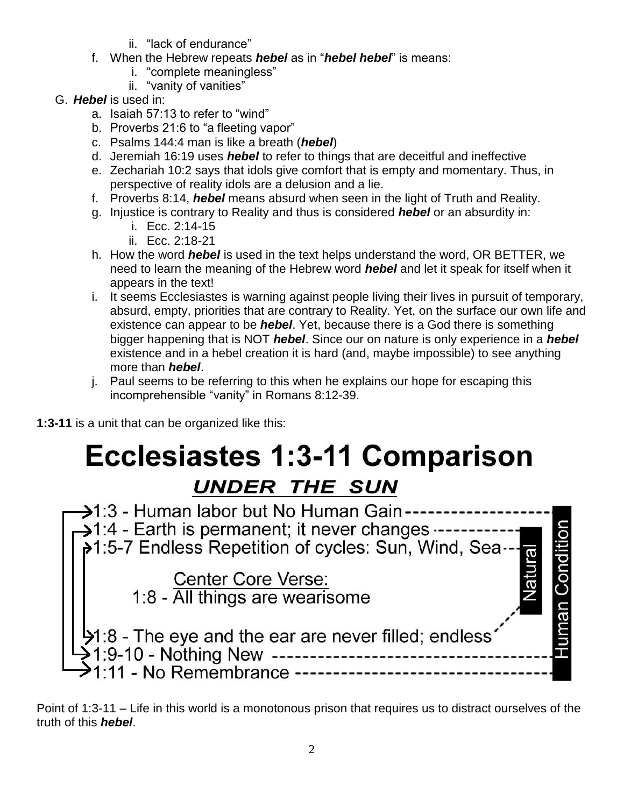- ii. "lack of endurance"
- f. When the Hebrew repeats *hebel* as in "*hebel hebel*" is means:
	- i. "complete meaningless"
	- ii. "vanity of vanities"
- G. *Hebel* is used in:
	- a. Isaiah 57:13 to refer to "wind"
	- b. Proverbs 21:6 to "a fleeting vapor"
	- c. Psalms 144:4 man is like a breath (*hebel*)
	- d. Jeremiah 16:19 uses *hebel* to refer to things that are deceitful and ineffective
	- e. Zechariah 10:2 says that idols give comfort that is empty and momentary. Thus, in perspective of reality idols are a delusion and a lie.
	- f. Proverbs 8:14, *hebel* means absurd when seen in the light of Truth and Reality.
	- g. Injustice is contrary to Reality and thus is considered *hebel* or an absurdity in:
		- i. Ecc. 2:14-15
		- ii. Ecc. 2:18-21
	- h. How the word *hebel* is used in the text helps understand the word, OR BETTER, we need to learn the meaning of the Hebrew word *hebel* and let it speak for itself when it appears in the text!
	- i. It seems Ecclesiastes is warning against people living their lives in pursuit of temporary, absurd, empty, priorities that are contrary to Reality. Yet, on the surface our own life and existence can appear to be *hebel*. Yet, because there is a God there is something bigger happening that is NOT *hebel*. Since our on nature is only experience in a *hebel* existence and in a hebel creation it is hard (and, maybe impossible) to see anything more than *hebel*.
	- j. Paul seems to be referring to this when he explains our hope for escaping this incomprehensible "vanity" in Romans 8:12-39.

**1:3-11** is a unit that can be organized like this:

# **Ecclesiastes 1:3-11 Comparison**



Point of 1:3-11 – Life in this world is a monotonous prison that requires us to distract ourselves of the truth of this *hebel*.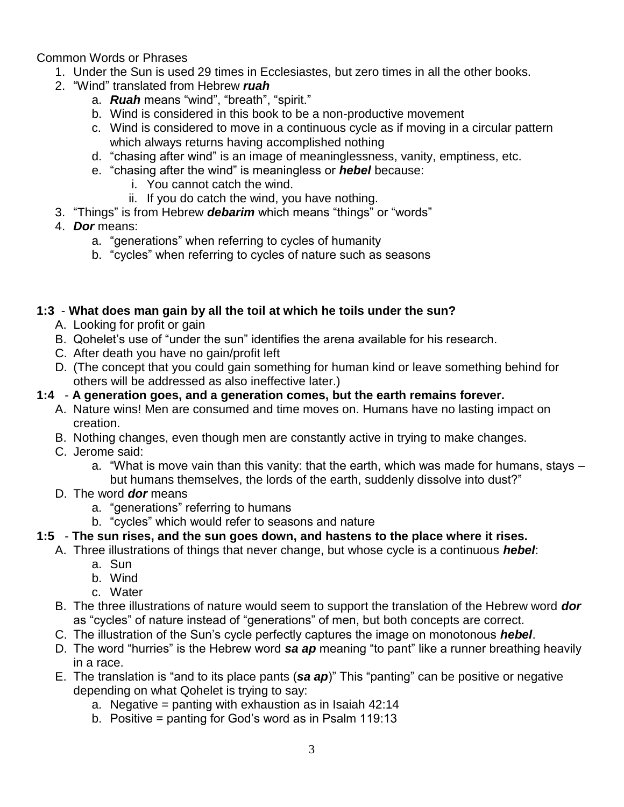Common Words or Phrases

- 1. Under the Sun is used 29 times in Ecclesiastes, but zero times in all the other books.
- 2. "Wind" translated from Hebrew *ruah*
	- a. *Ruah* means "wind", "breath", "spirit."
	- b. Wind is considered in this book to be a non-productive movement
	- c. Wind is considered to move in a continuous cycle as if moving in a circular pattern which always returns having accomplished nothing
	- d. "chasing after wind" is an image of meaninglessness, vanity, emptiness, etc.
	- e. "chasing after the wind" is meaningless or *hebel* because:
		- i. You cannot catch the wind.
		- ii. If you do catch the wind, you have nothing.
- 3. "Things" is from Hebrew *debarim* which means "things" or "words"
- 4. *Dor* means:
	- a. "generations" when referring to cycles of humanity
	- b. "cycles" when referring to cycles of nature such as seasons

#### **1:3** - **What does man gain by all the toil at which he toils under the sun?**

- A. Looking for profit or gain
- B. Qohelet's use of "under the sun" identifies the arena available for his research.
- C. After death you have no gain/profit left
- D. (The concept that you could gain something for human kind or leave something behind for others will be addressed as also ineffective later.)

#### **1:4** - **A generation goes, and a generation comes, but the earth remains forever.**

- A. Nature wins! Men are consumed and time moves on. Humans have no lasting impact on creation.
- B. Nothing changes, even though men are constantly active in trying to make changes.
- C. Jerome said:
	- a. "What is move vain than this vanity: that the earth, which was made for humans, stays but humans themselves, the lords of the earth, suddenly dissolve into dust?"
- D. The word *dor* means
	- a. "generations" referring to humans
	- b. "cycles" which would refer to seasons and nature

#### **1:5** - **The sun rises, and the sun goes down, and hastens to the place where it rises.**

- A. Three illustrations of things that never change, but whose cycle is a continuous *hebel*:
	- a. Sun
	- b. Wind
	- c. Water
- B. The three illustrations of nature would seem to support the translation of the Hebrew word *dor* as "cycles" of nature instead of "generations" of men, but both concepts are correct.
- C. The illustration of the Sun's cycle perfectly captures the image on monotonous *hebel*.
- D. The word "hurries" is the Hebrew word *sa ap* meaning "to pant" like a runner breathing heavily in a race.
- E. The translation is "and to its place pants (*sa ap*)" This "panting" can be positive or negative depending on what Qohelet is trying to say:
	- a. Negative = panting with exhaustion as in Isaiah 42:14
	- b. Positive = panting for God's word as in Psalm 119:13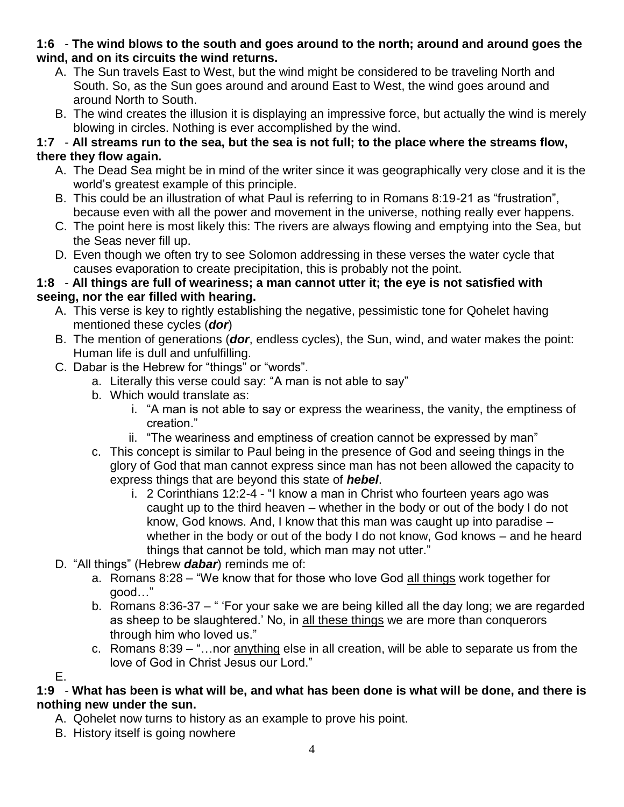#### **1:6** - **The wind blows to the south and goes around to the north; around and around goes the wind, and on its circuits the wind returns.**

- A. The Sun travels East to West, but the wind might be considered to be traveling North and South. So, as the Sun goes around and around East to West, the wind goes around and around North to South.
- B. The wind creates the illusion it is displaying an impressive force, but actually the wind is merely blowing in circles. Nothing is ever accomplished by the wind.

#### **1:7** - **All streams run to the sea, but the sea is not full; to the place where the streams flow, there they flow again.**

- A. The Dead Sea might be in mind of the writer since it was geographically very close and it is the world's greatest example of this principle.
- B. This could be an illustration of what Paul is referring to in Romans 8:19-21 as "frustration", because even with all the power and movement in the universe, nothing really ever happens.
- C. The point here is most likely this: The rivers are always flowing and emptying into the Sea, but the Seas never fill up.
- D. Even though we often try to see Solomon addressing in these verses the water cycle that causes evaporation to create precipitation, this is probably not the point.

#### **1:8** - **All things are full of weariness; a man cannot utter it; the eye is not satisfied with seeing, nor the ear filled with hearing.**

- A. This verse is key to rightly establishing the negative, pessimistic tone for Qohelet having mentioned these cycles (*dor*)
- B. The mention of generations (*dor*, endless cycles), the Sun, wind, and water makes the point: Human life is dull and unfulfilling.
- C. Dabar is the Hebrew for "things" or "words".
	- a. Literally this verse could say: "A man is not able to say"
	- b. Which would translate as:
		- i. "A man is not able to say or express the weariness, the vanity, the emptiness of creation."
		- ii. "The weariness and emptiness of creation cannot be expressed by man"
	- c. This concept is similar to Paul being in the presence of God and seeing things in the glory of God that man cannot express since man has not been allowed the capacity to express things that are beyond this state of *hebel*.
		- i. 2 Corinthians 12:2-4 "I know a man in Christ who fourteen years ago was caught up to the third heaven – whether in the body or out of the body I do not know, God knows. And, I know that this man was caught up into paradise – whether in the body or out of the body I do not know, God knows – and he heard things that cannot be told, which man may not utter."
- D. "All things" (Hebrew *dabar*) reminds me of:
	- a. Romans 8:28 "We know that for those who love God all things work together for good…"
	- b. Romans 8:36-37 " 'For your sake we are being killed all the day long; we are regarded as sheep to be slaughtered.' No, in all these things we are more than conquerors through him who loved us."
	- c. Romans 8:39 "…nor anything else in all creation, will be able to separate us from the love of God in Christ Jesus our Lord."

E.

**1:9** - **What has been is what will be, and what has been done is what will be done, and there is nothing new under the sun.**

- A. Qohelet now turns to history as an example to prove his point.
- B. History itself is going nowhere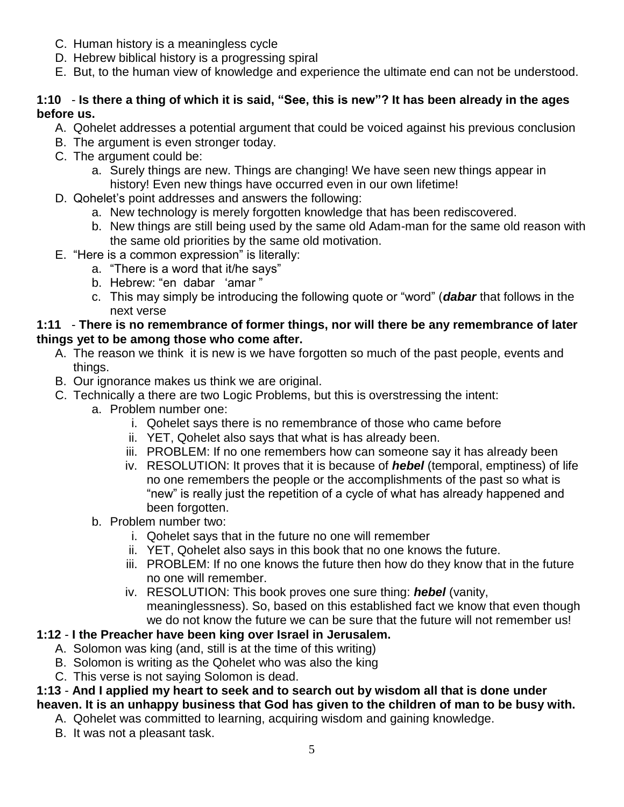- C. Human history is a meaningless cycle
- D. Hebrew biblical history is a progressing spiral
- E. But, to the human view of knowledge and experience the ultimate end can not be understood.

#### **1:10** - **Is there a thing of which it is said, "See, this is new"? It has been already in the ages before us.**

- A. Qohelet addresses a potential argument that could be voiced against his previous conclusion
- B. The argument is even stronger today.
- C. The argument could be:
	- a. Surely things are new. Things are changing! We have seen new things appear in history! Even new things have occurred even in our own lifetime!
- D. Qohelet's point addresses and answers the following:
	- a. New technology is merely forgotten knowledge that has been rediscovered.
	- b. New things are still being used by the same old Adam-man for the same old reason with the same old priorities by the same old motivation.
- E. "Here is a common expression" is literally:
	- a. "There is a word that it/he says"
	- b. Hebrew: "en dabar 'amar "
	- c. This may simply be introducing the following quote or "word" (*dabar* that follows in the next verse

#### **1:11** - **There is no remembrance of former things, nor will there be any remembrance of later things yet to be among those who come after.**

- A. The reason we think it is new is we have forgotten so much of the past people, events and things.
- B. Our ignorance makes us think we are original.
- C. Technically a there are two Logic Problems, but this is overstressing the intent:
	- a. Problem number one:
		- i. Qohelet says there is no remembrance of those who came before
		- ii. YET, Qohelet also says that what is has already been.
		- iii. PROBLEM: If no one remembers how can someone say it has already been
		- iv. RESOLUTION: It proves that it is because of *hebel* (temporal, emptiness) of life no one remembers the people or the accomplishments of the past so what is "new" is really just the repetition of a cycle of what has already happened and been forgotten.
	- b. Problem number two:
		- i. Qohelet says that in the future no one will remember
		- ii. YET, Qohelet also says in this book that no one knows the future.
		- iii. PROBLEM: If no one knows the future then how do they know that in the future no one will remember.
		- iv. RESOLUTION: This book proves one sure thing: *hebel* (vanity, meaninglessness). So, based on this established fact we know that even though we do not know the future we can be sure that the future will not remember us!

#### **1:12** - **I the Preacher have been king over Israel in Jerusalem.**

- A. Solomon was king (and, still is at the time of this writing)
- B. Solomon is writing as the Qohelet who was also the king
- C. This verse is not saying Solomon is dead.

**1:13** - **And I applied my heart to seek and to search out by wisdom all that is done under heaven. It is an unhappy business that God has given to the children of man to be busy with.**

- A. Qohelet was committed to learning, acquiring wisdom and gaining knowledge.
- B. It was not a pleasant task.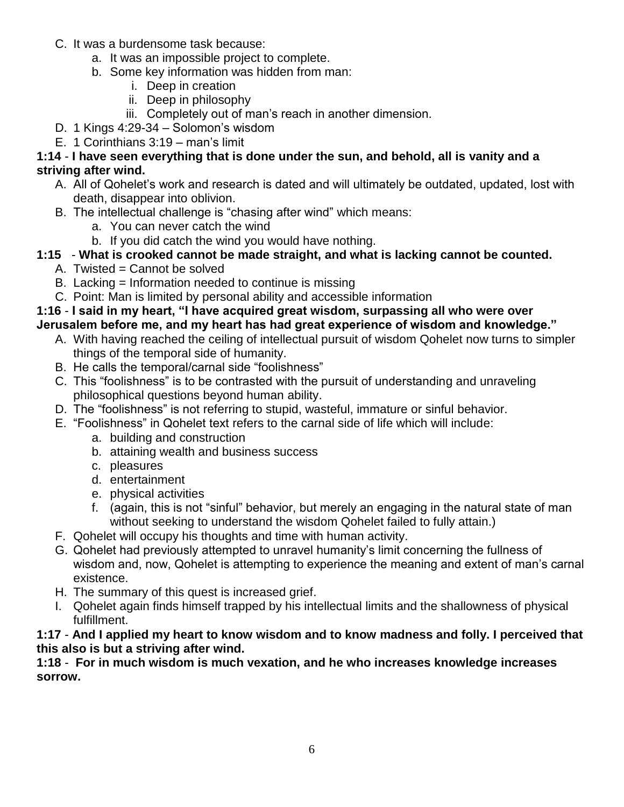- C. It was a burdensome task because:
	- a. It was an impossible project to complete.
	- b. Some key information was hidden from man:
		- i. Deep in creation
		- ii. Deep in philosophy
		- iii. Completely out of man's reach in another dimension.
- D. 1 Kings 4:29-34 Solomon's wisdom
- E. 1 Corinthians 3:19 man's limit

#### **1:14** - **I have seen everything that is done under the sun, and behold, all is vanity and a striving after wind.**

- A. All of Qohelet's work and research is dated and will ultimately be outdated, updated, lost with death, disappear into oblivion.
- B. The intellectual challenge is "chasing after wind" which means:
	- a. You can never catch the wind
	- b. If you did catch the wind you would have nothing.
- **1:15 What is crooked cannot be made straight, and what is lacking cannot be counted.**
	- A. Twisted = Cannot be solved
	- B. Lacking = Information needed to continue is missing
	- C. Point: Man is limited by personal ability and accessible information

### **1:16** - **I said in my heart, "I have acquired great wisdom, surpassing all who were over**

- **Jerusalem before me, and my heart has had great experience of wisdom and knowledge."**
	- A. With having reached the ceiling of intellectual pursuit of wisdom Qohelet now turns to simpler things of the temporal side of humanity.
	- B. He calls the temporal/carnal side "foolishness"
	- C. This "foolishness" is to be contrasted with the pursuit of understanding and unraveling philosophical questions beyond human ability.
	- D. The "foolishness" is not referring to stupid, wasteful, immature or sinful behavior.
	- E. "Foolishness" in Qohelet text refers to the carnal side of life which will include:
		- a. building and construction
		- b. attaining wealth and business success
		- c. pleasures
		- d. entertainment
		- e. physical activities
		- f. (again, this is not "sinful" behavior, but merely an engaging in the natural state of man without seeking to understand the wisdom Qohelet failed to fully attain.)
	- F. Qohelet will occupy his thoughts and time with human activity.
	- G. Qohelet had previously attempted to unravel humanity's limit concerning the fullness of wisdom and, now, Qohelet is attempting to experience the meaning and extent of man's carnal existence.
	- H. The summary of this quest is increased grief.
	- I. Qohelet again finds himself trapped by his intellectual limits and the shallowness of physical fulfillment.

**1:17** - **And I applied my heart to know wisdom and to know madness and folly. I perceived that this also is but a striving after wind.**

#### **1:18** - **For in much wisdom is much vexation, and he who increases knowledge increases sorrow.**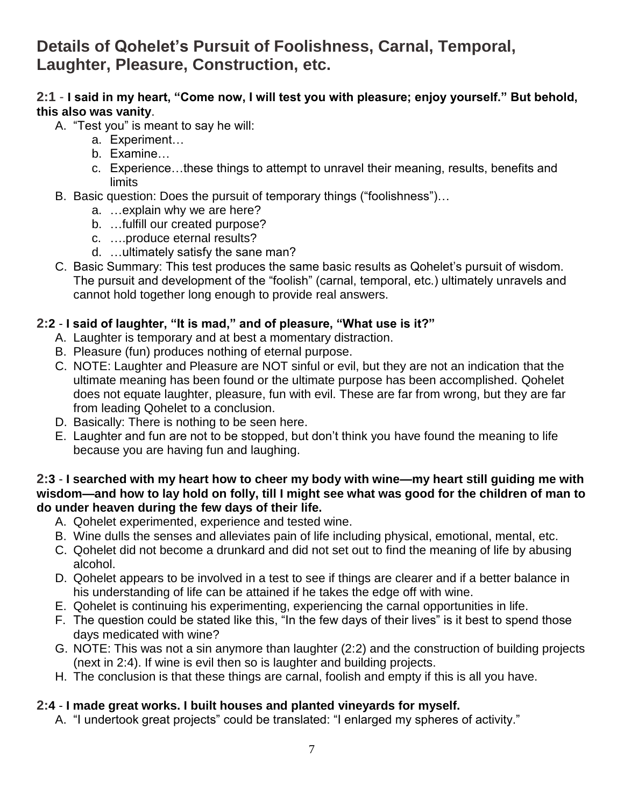## **Details of Qohelet's Pursuit of Foolishness, Carnal, Temporal, Laughter, Pleasure, Construction, etc.**

#### **2:1** - **I said in my heart, "Come now, I will test you with pleasure; enjoy yourself." But behold, this also was vanity**.

- A. "Test you" is meant to say he will:
	- a. Experiment…
	- b. Examine…
	- c. Experience…these things to attempt to unravel their meaning, results, benefits and limits
- B. Basic question: Does the pursuit of temporary things ("foolishness")…
	- a. …explain why we are here?
	- b. …fulfill our created purpose?
	- c. ….produce eternal results?
	- d. …ultimately satisfy the sane man?
- C. Basic Summary: This test produces the same basic results as Qohelet's pursuit of wisdom. The pursuit and development of the "foolish" (carnal, temporal, etc.) ultimately unravels and cannot hold together long enough to provide real answers.

#### **2:2** - **I said of laughter, "It is mad," and of pleasure, "What use is it?"**

- A. Laughter is temporary and at best a momentary distraction.
- B. Pleasure (fun) produces nothing of eternal purpose.
- C. NOTE: Laughter and Pleasure are NOT sinful or evil, but they are not an indication that the ultimate meaning has been found or the ultimate purpose has been accomplished. Qohelet does not equate laughter, pleasure, fun with evil. These are far from wrong, but they are far from leading Qohelet to a conclusion.
- D. Basically: There is nothing to be seen here.
- E. Laughter and fun are not to be stopped, but don't think you have found the meaning to life because you are having fun and laughing.

#### **2:3** - **I searched with my heart how to cheer my body with wine—my heart still guiding me with wisdom—and how to lay hold on folly, till I might see what was good for the children of man to do under heaven during the few days of their life.**

- A. Qohelet experimented, experience and tested wine.
- B. Wine dulls the senses and alleviates pain of life including physical, emotional, mental, etc.
- C. Qohelet did not become a drunkard and did not set out to find the meaning of life by abusing alcohol.
- D. Qohelet appears to be involved in a test to see if things are clearer and if a better balance in his understanding of life can be attained if he takes the edge off with wine.
- E. Qohelet is continuing his experimenting, experiencing the carnal opportunities in life.
- F. The question could be stated like this, "In the few days of their lives" is it best to spend those days medicated with wine?
- G. NOTE: This was not a sin anymore than laughter (2:2) and the construction of building projects (next in 2:4). If wine is evil then so is laughter and building projects.
- H. The conclusion is that these things are carnal, foolish and empty if this is all you have.

#### **2:4** - **I made great works. I built houses and planted vineyards for myself.**

A. "I undertook great projects" could be translated: "I enlarged my spheres of activity."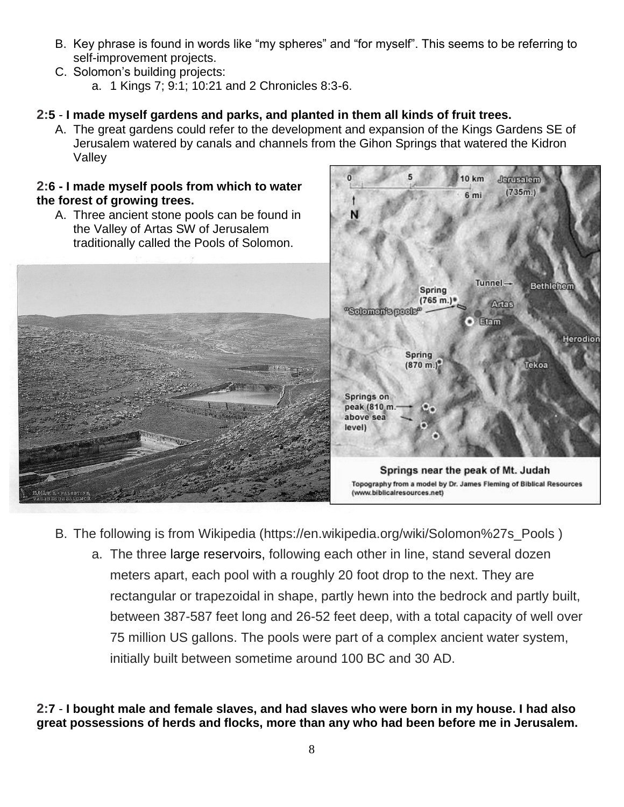- B. Key phrase is found in words like "my spheres" and "for myself". This seems to be referring to self-improvement projects.
- C. Solomon's building projects: a. 1 Kings 7; 9:1; 10:21 and 2 Chronicles 8:3-6.

#### **2:5** - **I made myself gardens and parks, and planted in them all kinds of fruit trees.**

A. The great gardens could refer to the development and expansion of the Kings Gardens SE of Jerusalem watered by canals and channels from the Gihon Springs that watered the Kidron Valley

#### **2:6 - I made myself pools from which to water the forest of growing trees.**

A. Three ancient stone pools can be found in the Valley of Artas SW of Jerusalem traditionally called the Pools of Solomon.





- B. The following is from Wikipedia (https://en.wikipedia.org/wiki/Solomon%27s\_Pools )
	- a. The three large [reservoirs,](https://en.wikipedia.org/wiki/Reservoir) following each other in line, stand several dozen meters apart, each pool with a roughly 20 foot drop to the next. They are rectangular or trapezoidal in shape, partly hewn into the bedrock and partly built, between 387-587 feet long and 26-52 feet deep, with a total capacity of well over 75 million US gallons. The pools were part of a complex ancient water system, initially built between sometime around 100 BC and 30 AD.

**2:7** - **I bought male and female slaves, and had slaves who were born in my house. I had also great possessions of herds and flocks, more than any who had been before me in Jerusalem.**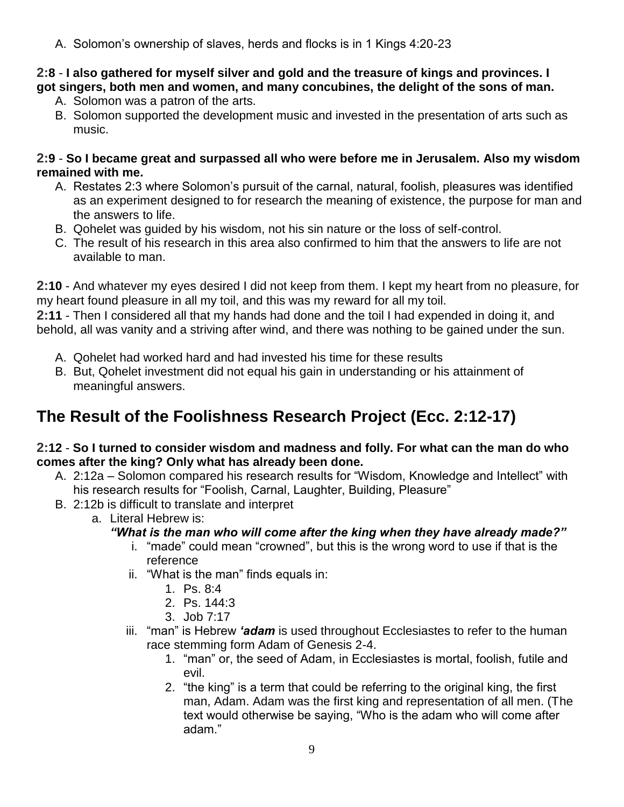A. Solomon's ownership of slaves, herds and flocks is in 1 Kings 4:20-23

#### **2:8** - **I also gathered for myself silver and gold and the treasure of kings and provinces. I got singers, both men and women, and many concubines, the delight of the sons of man.**

- A. Solomon was a patron of the arts.
- B. Solomon supported the development music and invested in the presentation of arts such as music.

#### **2:9** - **So I became great and surpassed all who were before me in Jerusalem. Also my wisdom remained with me.**

- A. Restates 2:3 where Solomon's pursuit of the carnal, natural, foolish, pleasures was identified as an experiment designed to for research the meaning of existence, the purpose for man and the answers to life.
- B. Qohelet was guided by his wisdom, not his sin nature or the loss of self-control.
- C. The result of his research in this area also confirmed to him that the answers to life are not available to man.

**2:10** - And whatever my eyes desired I did not keep from them. I kept my heart from no pleasure, for my heart found pleasure in all my toil, and this was my reward for all my toil.

**2:11** - Then I considered all that my hands had done and the toil I had expended in doing it, and behold, all was vanity and a striving after wind, and there was nothing to be gained under the sun.

- A. Qohelet had worked hard and had invested his time for these results
- B. But, Qohelet investment did not equal his gain in understanding or his attainment of meaningful answers.

# **The Result of the Foolishness Research Project (Ecc. 2:12-17)**

#### **2:12** - **So I turned to consider wisdom and madness and folly. For what can the man do who comes after the king? Only what has already been done.**

- A. 2:12a Solomon compared his research results for "Wisdom, Knowledge and Intellect" with his research results for "Foolish, Carnal, Laughter, Building, Pleasure"
- B. 2:12b is difficult to translate and interpret
	- a. Literal Hebrew is:

#### *"What is the man who will come after the king when they have already made?"*

- i. "made" could mean "crowned", but this is the wrong word to use if that is the reference
- ii. "What is the man" finds equals in:
	- 1. Ps. 8:4
	- 2. Ps. 144:3
	- 3. Job 7:17
- iii. "man" is Hebrew *'adam* is used throughout Ecclesiastes to refer to the human race stemming form Adam of Genesis 2-4.
	- 1. "man" or, the seed of Adam, in Ecclesiastes is mortal, foolish, futile and evil.
	- 2. "the king" is a term that could be referring to the original king, the first man, Adam. Adam was the first king and representation of all men. (The text would otherwise be saying, "Who is the adam who will come after adam."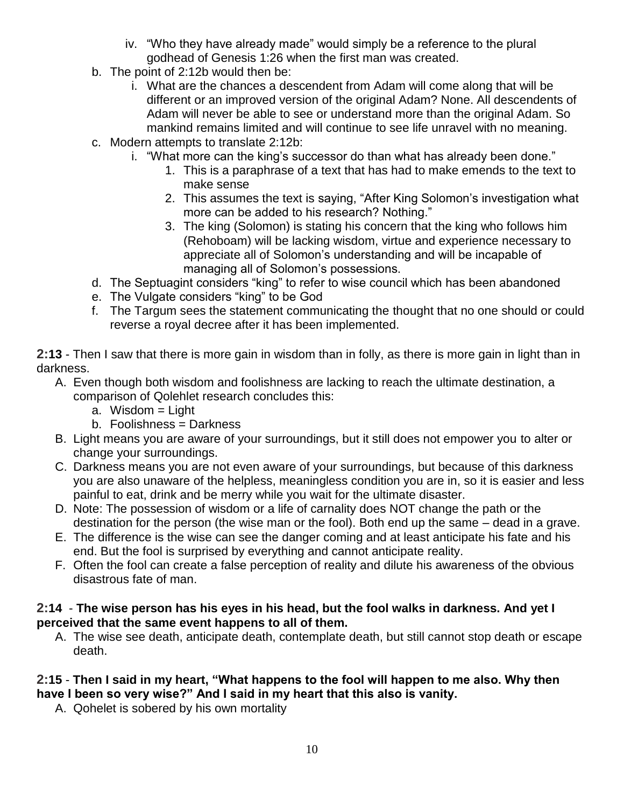- iv. "Who they have already made" would simply be a reference to the plural godhead of Genesis 1:26 when the first man was created.
- b. The point of 2:12b would then be:
	- i. What are the chances a descendent from Adam will come along that will be different or an improved version of the original Adam? None. All descendents of Adam will never be able to see or understand more than the original Adam. So mankind remains limited and will continue to see life unravel with no meaning.
- c. Modern attempts to translate 2:12b:
	- i. "What more can the king's successor do than what has already been done."
		- 1. This is a paraphrase of a text that has had to make emends to the text to make sense
		- 2. This assumes the text is saying, "After King Solomon's investigation what more can be added to his research? Nothing."
		- 3. The king (Solomon) is stating his concern that the king who follows him (Rehoboam) will be lacking wisdom, virtue and experience necessary to appreciate all of Solomon's understanding and will be incapable of managing all of Solomon's possessions.
- d. The Septuagint considers "king" to refer to wise council which has been abandoned
- e. The Vulgate considers "king" to be God
- f. The Targum sees the statement communicating the thought that no one should or could reverse a royal decree after it has been implemented.

**2:13** - Then I saw that there is more gain in wisdom than in folly, as there is more gain in light than in darkness.

- A. Even though both wisdom and foolishness are lacking to reach the ultimate destination, a comparison of Qolehlet research concludes this:
	- a. Wisdom = Light
	- b. Foolishness = Darkness
- B. Light means you are aware of your surroundings, but it still does not empower you to alter or change your surroundings.
- C. Darkness means you are not even aware of your surroundings, but because of this darkness you are also unaware of the helpless, meaningless condition you are in, so it is easier and less painful to eat, drink and be merry while you wait for the ultimate disaster.
- D. Note: The possession of wisdom or a life of carnality does NOT change the path or the destination for the person (the wise man or the fool). Both end up the same – dead in a grave.
- E. The difference is the wise can see the danger coming and at least anticipate his fate and his end. But the fool is surprised by everything and cannot anticipate reality.
- F. Often the fool can create a false perception of reality and dilute his awareness of the obvious disastrous fate of man.

#### **2:14** - **The wise person has his eyes in his head, but the fool walks in darkness. And yet I perceived that the same event happens to all of them.**

A. The wise see death, anticipate death, contemplate death, but still cannot stop death or escape death.

#### **2:15** - **Then I said in my heart, "What happens to the fool will happen to me also. Why then have I been so very wise?" And I said in my heart that this also is vanity.**

A. Qohelet is sobered by his own mortality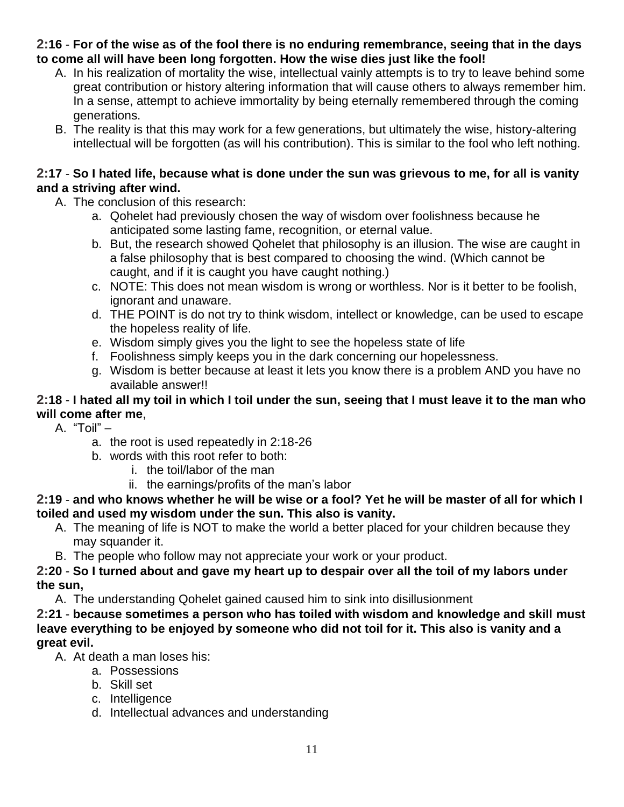#### **2:16** - **For of the wise as of the fool there is no enduring remembrance, seeing that in the days to come all will have been long forgotten. How the wise dies just like the fool!**

- A. In his realization of mortality the wise, intellectual vainly attempts is to try to leave behind some great contribution or history altering information that will cause others to always remember him. In a sense, attempt to achieve immortality by being eternally remembered through the coming generations.
- B. The reality is that this may work for a few generations, but ultimately the wise, history-altering intellectual will be forgotten (as will his contribution). This is similar to the fool who left nothing.

#### **2:17** - **So I hated life, because what is done under the sun was grievous to me, for all is vanity and a striving after wind.**

- A. The conclusion of this research:
	- a. Qohelet had previously chosen the way of wisdom over foolishness because he anticipated some lasting fame, recognition, or eternal value.
	- b. But, the research showed Qohelet that philosophy is an illusion. The wise are caught in a false philosophy that is best compared to choosing the wind. (Which cannot be caught, and if it is caught you have caught nothing.)
	- c. NOTE: This does not mean wisdom is wrong or worthless. Nor is it better to be foolish, ignorant and unaware.
	- d. THE POINT is do not try to think wisdom, intellect or knowledge, can be used to escape the hopeless reality of life.
	- e. Wisdom simply gives you the light to see the hopeless state of life
	- f. Foolishness simply keeps you in the dark concerning our hopelessness.
	- g. Wisdom is better because at least it lets you know there is a problem AND you have no available answer!!

#### **2:18** - **I hated all my toil in which I toil under the sun, seeing that I must leave it to the man who will come after me**,

A. "Toil" –

- a. the root is used repeatedly in 2:18-26
- b. words with this root refer to both:
	- i. the toil/labor of the man
	- ii. the earnings/profits of the man's labor

#### **2:19** - **and who knows whether he will be wise or a fool? Yet he will be master of all for which I toiled and used my wisdom under the sun. This also is vanity.**

- A. The meaning of life is NOT to make the world a better placed for your children because they may squander it.
- B. The people who follow may not appreciate your work or your product.

#### **2:20** - **So I turned about and gave my heart up to despair over all the toil of my labors under the sun,**

A. The understanding Qohelet gained caused him to sink into disillusionment

**2:21** - **because sometimes a person who has toiled with wisdom and knowledge and skill must leave everything to be enjoyed by someone who did not toil for it. This also is vanity and a great evil.**

- A. At death a man loses his:
	- a. Possessions
	- b. Skill set
	- c. Intelligence
	- d. Intellectual advances and understanding